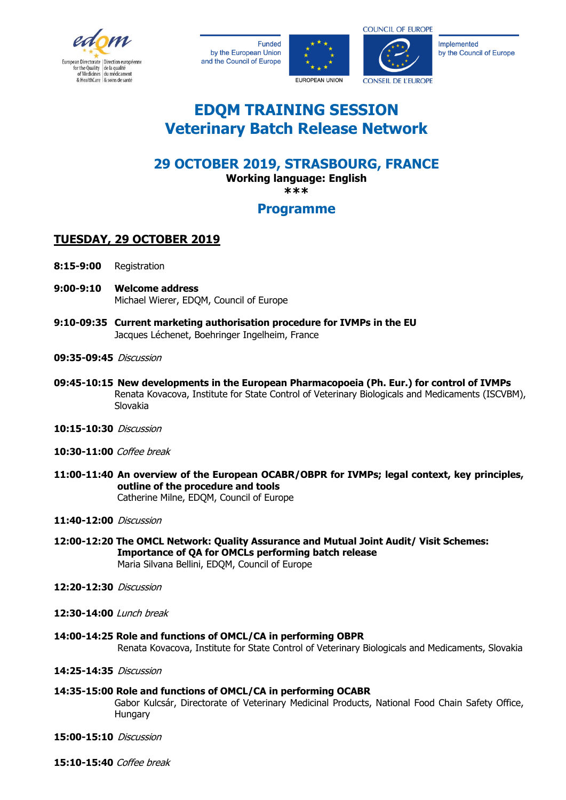

**Funded** by the European Union and the Council of Europe





**COUNCIL OF EUROPE** 

Implemented by the Council of Europe

# **EDQM TRAINING SESSION Veterinary Batch Release Network**

## **29 OCTOBER 2019, STRASBOURG, FRANCE**

**Working language: English**

**\*\*\***

### **Programme**

### **TUESDAY, 29 OCTOBER 2019**

- **8:15-9:00** Registration
- **9:00-9:10 Welcome address** Michael Wierer, EDQM, Council of Europe
- **9:10-09:35 Current marketing authorisation procedure for IVMPs in the EU** Jacques Léchenet, Boehringer Ingelheim, France
- **09:35-09:45** Discussion
- **09:45-10:15 New developments in the European Pharmacopoeia (Ph. Eur.) for control of IVMPs** Renata Kovacova, Institute for State Control of Veterinary Biologicals and Medicaments (ISCVBM), Slovakia
- **10:15-10:30** Discussion
- **10:30-11:00** Coffee break
- **11:00-11:40 An overview of the European OCABR/OBPR for IVMPs; legal context, key principles, outline of the procedure and tools** Catherine Milne, EDQM, Council of Europe
- **11:40-12:00** Discussion
- **12:00-12:20 The OMCL Network: Quality Assurance and Mutual Joint Audit/ Visit Schemes: Importance of QA for OMCLs performing batch release** Maria Silvana Bellini, EDQM, Council of Europe
- **12:20-12:30** Discussion
- **12:30-14:00** Lunch break
- **14:00-14:25 Role and functions of OMCL/CA in performing OBPR** Renata Kovacova, Institute for State Control of Veterinary Biologicals and Medicaments, Slovakia
- **14:25-14:35** Discussion

#### **14:35-15:00 Role and functions of OMCL/CA in performing OCABR**

Gabor Kulcsár, Directorate of Veterinary Medicinal Products, National Food Chain Safety Office, **Hungary** 

- **15:00-15:10** Discussion
- **15:10-15:40** Coffee break